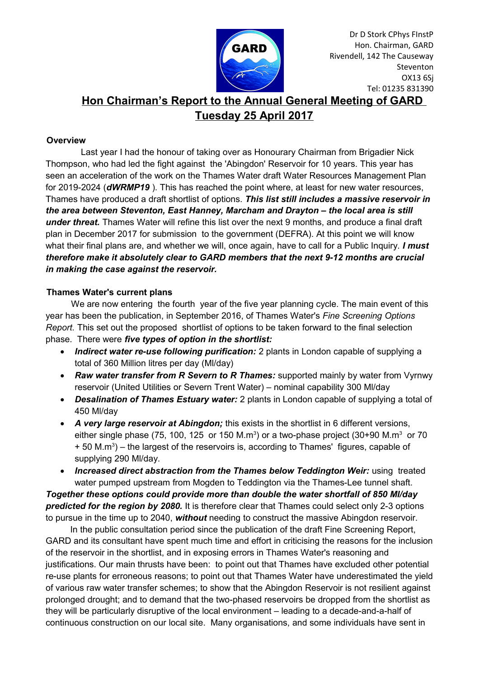

# **Hon Chairman's Report to the Annual General Meeting of GARD Tuesday 25 April 2017**

## **Overview**

 Last year I had the honour of taking over as Honourary Chairman from Brigadier Nick Thompson, who had led the fight against the 'Abingdon' Reservoir for 10 years. This year has seen an acceleration of the work on the Thames Water draft Water Resources Management Plan for 2019-2024 (*dWRMP19* ). This has reached the point where, at least for new water resources, Thames have produced a draft shortlist of options. *This list still includes a massive reservoir in the area between Steventon, East Hanney, Marcham and Drayton – the local area is still under threat.* Thames Water will refine this list over the next 9 months, and produce a final draft plan in December 2017 for submission to the government (DEFRA). At this point we will know what their final plans are, and whether we will, once again, have to call for a Public Inquiry. *I must therefore make it absolutely clear to GARD members that the next 9-12 months are crucial in making the case against the reservoir.* 

## **Thames Water's current plans**

We are now entering the fourth year of the five year planning cycle. The main event of this year has been the publication, in September 2016, of Thames Water's *Fine Screening Options Report.* This set out the proposed shortlist of options to be taken forward to the final selection phase. There were *five types of option in the shortlist:*

- *Indirect water re-use following purification:* 2 plants in London capable of supplying a total of 360 Million litres per day (Ml/day)
- *Raw water transfer from R Severn to R Thames:* supported mainly by water from Vyrnwy reservoir (United Utilities or Severn Trent Water) – nominal capability 300 Ml/day
- *Desalination of Thames Estuary water:* 2 plants in London capable of supplying a total of 450 Ml/day
- *A very large reservoir at Abingdon;* this exists in the shortlist in 6 different versions, either single phase (75, 100, 125 or 150 M.m<sup>3</sup>) or a two-phase project (30+90 M.m<sup>3</sup> or 70  $+50$  M.m<sup>3</sup>) – the largest of the reservoirs is, according to Thames' figures, capable of supplying 290 Ml/day.
- Increased direct abstraction from the Thames below Teddington Weir: using treated water pumped upstream from Mogden to Teddington via the Thames-Lee tunnel shaft. *Together these options could provide more than double the water shortfall of 850 Ml/day predicted for the region by 2080.* It is therefore clear that Thames could select only 2-3 options to pursue in the time up to 2040, *without* needing to construct the massive Abingdon reservoir.

 In the public consultation period since the publication of the draft Fine Screening Report, GARD and its consultant have spent much time and effort in criticising the reasons for the inclusion of the reservoir in the shortlist, and in exposing errors in Thames Water's reasoning and justifications. Our main thrusts have been: to point out that Thames have excluded other potential re-use plants for erroneous reasons; to point out that Thames Water have underestimated the yield of various raw water transfer schemes; to show that the Abingdon Reservoir is not resilient against prolonged drought; and to demand that the two-phased reservoirs be dropped from the shortlist as they will be particularly disruptive of the local environment – leading to a decade-and-a-half of continuous construction on our local site. Many organisations, and some individuals have sent in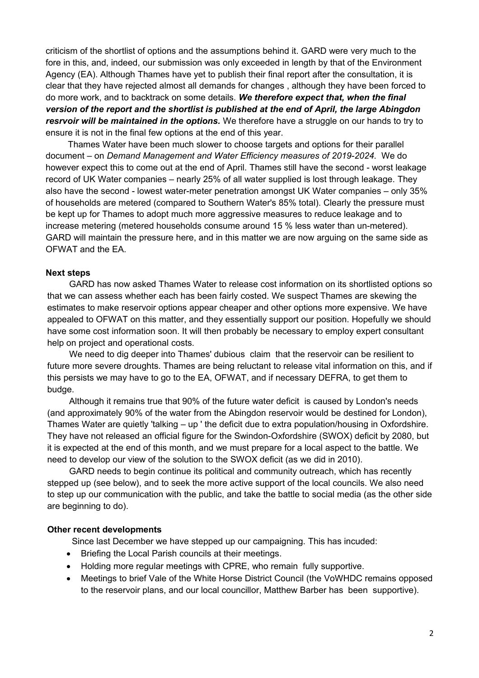criticism of the shortlist of options and the assumptions behind it. GARD were very much to the fore in this, and, indeed, our submission was only exceeded in length by that of the Environment Agency (EA). Although Thames have yet to publish their final report after the consultation, it is clear that they have rejected almost all demands for changes , although they have been forced to do more work, and to backtrack on some details. *We therefore expect that, when the final version of the report and the shortlist is published at the end of April, the large Abingdon resrvoir will be maintained in the options.* We therefore have a struggle on our hands to try to ensure it is not in the final few options at the end of this year.

 Thames Water have been much slower to choose targets and options for their parallel document – on *Demand Management and Water Efficiency measures of 2019-2024.* We do however expect this to come out at the end of April. Thames still have the second - worst leakage record of UK Water companies – nearly 25% of all water supplied is lost through leakage. They also have the second - lowest water-meter penetration amongst UK Water companies – only 35% of households are metered (compared to Southern Water's 85% total). Clearly the pressure must be kept up for Thames to adopt much more aggressive measures to reduce leakage and to increase metering (metered households consume around 15 % less water than un-metered). GARD will maintain the pressure here, and in this matter we are now arguing on the same side as OFWAT and the EA.

#### **Next steps**

GARD has now asked Thames Water to release cost information on its shortlisted options so that we can assess whether each has been fairly costed. We suspect Thames are skewing the estimates to make reservoir options appear cheaper and other options more expensive. We have appealed to OFWAT on this matter, and they essentially support our position. Hopefully we should have some cost information soon. It will then probably be necessary to employ expert consultant help on project and operational costs.

We need to dig deeper into Thames' dubious claim that the reservoir can be resilient to future more severe droughts. Thames are being reluctant to release vital information on this, and if this persists we may have to go to the EA, OFWAT, and if necessary DEFRA, to get them to budge.

Although it remains true that 90% of the future water deficit is caused by London's needs (and approximately 90% of the water from the Abingdon reservoir would be destined for London), Thames Water are quietly 'talking – up ' the deficit due to extra population/housing in Oxfordshire. They have not released an official figure for the Swindon-Oxfordshire (SWOX) deficit by 2080, but it is expected at the end of this month, and we must prepare for a local aspect to the battle. We need to develop our view of the solution to the SWOX deficit (as we did in 2010).

GARD needs to begin continue its political and community outreach, which has recently stepped up (see below), and to seek the more active support of the local councils. We also need to step up our communication with the public, and take the battle to social media (as the other side are beginning to do).

#### **Other recent developments**

Since last December we have stepped up our campaigning. This has incuded:

- Briefing the Local Parish councils at their meetings.
- Holding more regular meetings with CPRE, who remain fully supportive.
- Meetings to brief Vale of the White Horse District Council (the VoWHDC remains opposed to the reservoir plans, and our local councillor, Matthew Barber has been supportive).